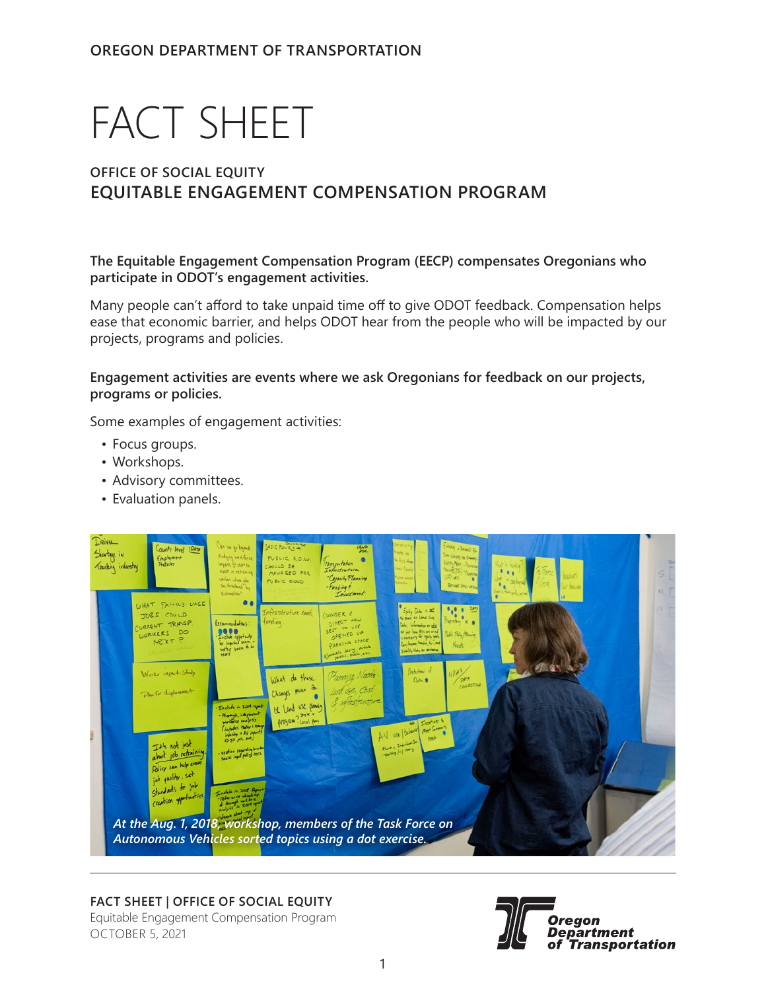# FACT SHEET

# **OFFICE OF SOCIAL EQUITY EQUITABLE ENGAGEMENT COMPENSATION PROGRAM**

**The Equitable Engagement Compensation Program (EECP) compensates Oregonians who participate in ODOT's engagement activities.** 

Many people can't afford to take unpaid time off to give ODOT feedback. Compensation helps ease that economic barrier, and helps ODOT hear from the people who will be impacted by our projects, programs and policies.

**Engagement activities are events where we ask Oregonians for feedback on our projects, programs or policies.** 

Some examples of engagement activities:

- Focus groups.
- Workshops.
- Advisory committees.
- Evaluation panels.



## **FACT SHEET | Office of Social Equity**

Equitable Engagement Compensation Program October 5, 2021